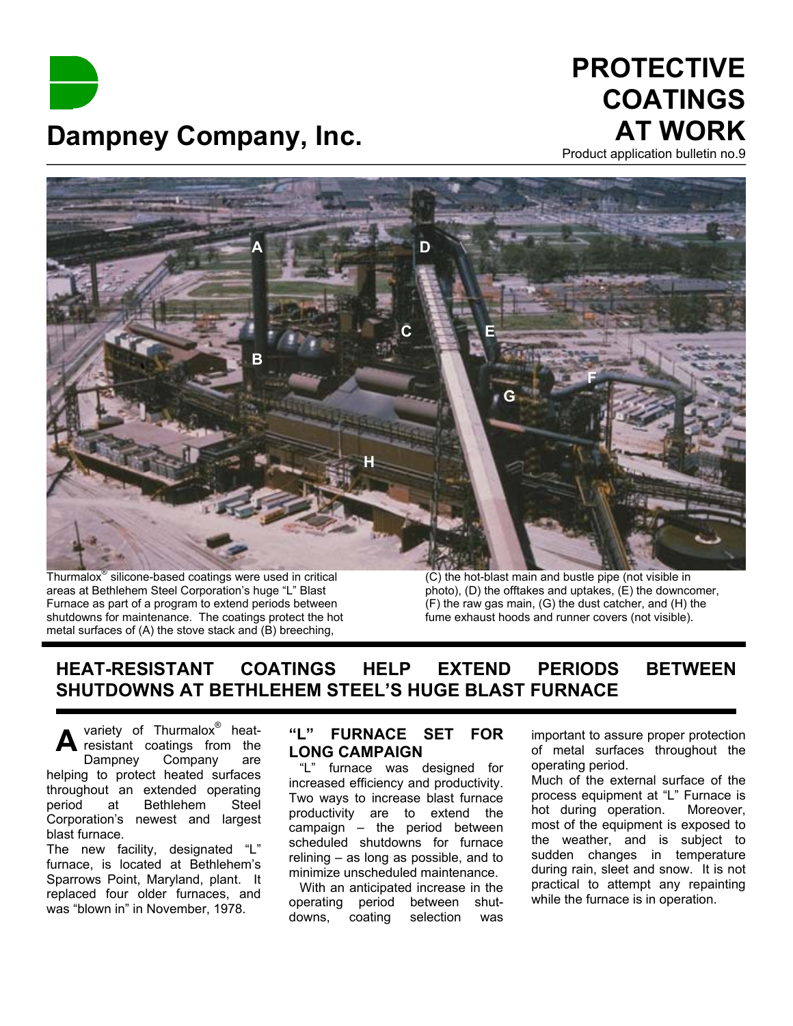**Dampney Company, Inc.**

# **PROTECTIVE COATINGS AT WORK**

Product application bulletin no.9



Thurmalox® silicone-based coatings were used in critical areas at Bethlehem Steel Corporation's huge "L" Blast Furnace as part of a program to extend periods between shutdowns for maintenance. The coatings protect the hot metal surfaces of (A) the stove stack and (B) breeching,

(C) the hot-blast main and bustle pipe (not visible in photo), (D) the offtakes and uptakes, (E) the downcomer, (F) the raw gas main, (G) the dust catcher, and (H) the fume exhaust hoods and runner covers (not visible).

# **HEAT-RESISTANT COATINGS HELP EXTEND PERIODS BETWEEN SHUTDOWNS AT BETHLEHEM STEEL'S HUGE BLAST FURNACE**

**A** variety of Thurmalox<sup>®</sup> heatresistant coatings from the Dampney Company are helping to protect heated surfaces throughout an extended operating period at Bethlehem Steel Corporation's newest and largest blast furnace.

The new facility, designated "L" furnace, is located at Bethlehem's Sparrows Point, Maryland, plant. It replaced four older furnaces, and was "blown in" in November, 1978.

## **"L" FURNACE SET FOR LONG CAMPAIGN**

 "L" furnace was designed for increased efficiency and productivity. Two ways to increase blast furnace productivity are to extend the campaign – the period between scheduled shutdowns for furnace relining – as long as possible, and to minimize unscheduled maintenance.

 With an anticipated increase in the operating period between shutdowns, coating selection was

important to assure proper protection of metal surfaces throughout the operating period.

Much of the external surface of the process equipment at "L" Furnace is hot during operation. Moreover, most of the equipment is exposed to the weather, and is subject to sudden changes in temperature during rain, sleet and snow. It is not practical to attempt any repainting while the furnace is in operation.